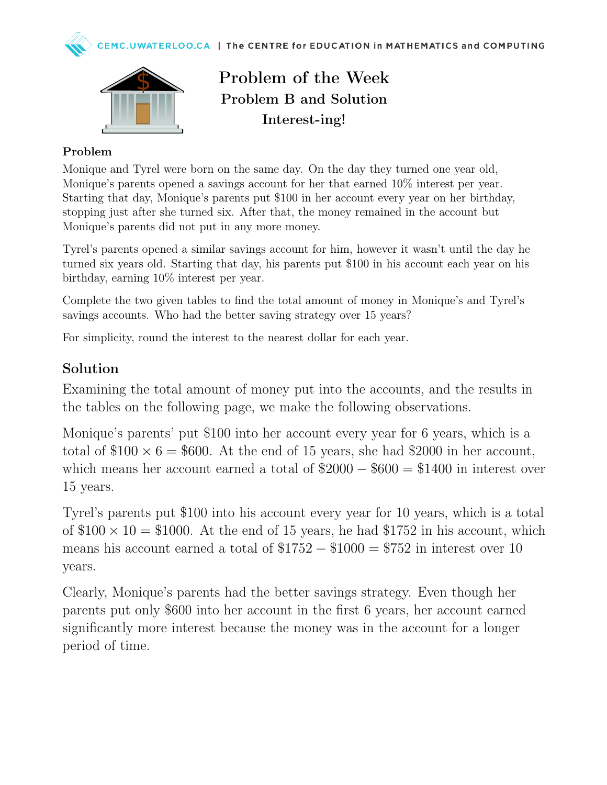



Problem of the Week Problem B and Solution Interest-ing!

## Problem

Monique and Tyrel were born on the same day. On the day they turned one year old, Monique's parents opened a savings account for her that earned 10% interest per year. Starting that day, Monique's parents put \$100 in her account every year on her birthday, stopping just after she turned six. After that, the money remained in the account but Monique's parents did not put in any more money.

Tyrel's parents opened a similar savings account for him, however it wasn't until the day he turned six years old. Starting that day, his parents put \$100 in his account each year on his birthday, earning 10% interest per year.

Complete the two given tables to find the total amount of money in Monique's and Tyrel's savings accounts. Who had the better saving strategy over 15 years?

For simplicity, round the interest to the nearest dollar for each year.

## Solution

Examining the total amount of money put into the accounts, and the results in the tables on the following page, we make the following observations.

Monique's parents' put \$100 into her account every year for 6 years, which is a total of  $$100 \times 6 = $600$ . At the end of 15 years, she had \$2000 in her account, which means her account earned a total of  $\$2000 - \$600 = \$1400$  in interest over 15 years.

Tyrel's parents put \$100 into his account every year for 10 years, which is a total of  $$100 \times 10 = $1000$ . At the end of 15 years, he had  $$1752$  in his account, which means his account earned a total of  $$1752 - $1000 = $752$  in interest over 10 years.

Clearly, Monique's parents had the better savings strategy. Even though her parents put only \$600 into her account in the first 6 years, her account earned significantly more interest because the money was in the account for a longer period of time.